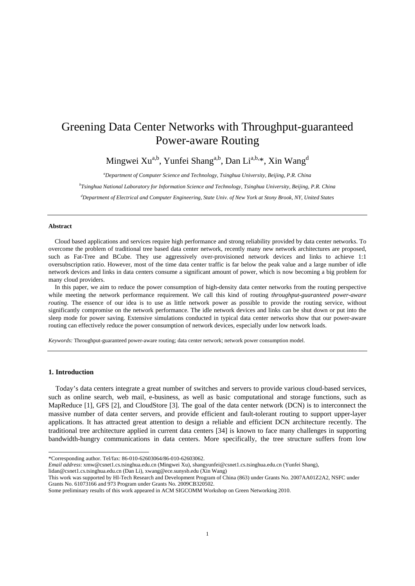# Greening Data Center Networks with Throughput-guaranteed Power-aware Routing

Mingwei Xu<sup>a,b</sup>, Yunfei Shang<sup>a,b</sup>, Dan Li<sup>a,b,\*</sup>, Xin Wang<sup>d</sup>

*a Department of Computer Science and Technology, Tsinghua University, Beijing, P.R. China* 

*b Tsinghua National Laboratory for Information Science and Technology, Tsinghua University, Beijing, P.R. China* 

*d Department of Electrical and Computer Engineering, State Univ. of New York at Stony Brook, NY, United States* 

## **Abstract**

Cloud based applications and services require high performance and strong reliability provided by data center networks. To overcome the problem of traditional tree based data center network, recently many new network architectures are proposed, such as Fat-Tree and BCube. They use aggressively over-provisioned network devices and links to achieve 1:1 oversubscription ratio. However, most of the time data center traffic is far below the peak value and a large number of idle network devices and links in data centers consume a significant amount of power, which is now becoming a big problem for many cloud providers.

In this paper, we aim to reduce the power consumption of high-density data center networks from the routing perspective while meeting the network performance requirement. We call this kind of routing *throughput-guaranteed power-aware routing*. The essence of our idea is to use as little network power as possible to provide the routing service, without significantly compromise on the network performance. The idle network devices and links can be shut down or put into the sleep mode for power saving. Extensive simulations conducted in typical data center networks show that our power-aware routing can effectively reduce the power consumption of network devices, especially under low network loads.

*Keywords:* Throughput-guaranteed power-aware routing; data center network; network power consumption model.

## **1. Introduction**

l

Today's data centers integrate a great number of switches and servers to provide various cloud-based services, such as online search, web mail, e-business, as well as basic computational and storage functions, such as MapReduce [1], GFS [2], and CloudStore [3]. The goal of the data center network (DCN) is to interconnect the massive number of data center servers, and provide efficient and fault-tolerant routing to support upper-layer applications. It has attracted great attention to design a reliable and efficient DCN architecture recently. The traditional tree architecture applied in current data centers [34] is known to face many challenges in supporting bandwidth-hungry communications in data centers. More specifically, the tree structure suffers from low

lidan@csnet1.cs.tsinghua.edu.cn (Dan Li), xwang@ece.sunysb.edu (Xin Wang)

<sup>\*</sup>Corresponding author. Tel/fax: 86-010-62603064/86-010-62603062.

*Email address*: xmw@csnet1.cs.tsinghua.edu.cn (Mingwei Xu), shangyunfei@csnet1.cs.tsinghua.edu.cn (Yunfei Shang),

This work was supported by HI-Tech Research and Development Program of China (863) under Grants No. 2007AA01Z2A2, NSFC under Grants No. 61073166 and 973 Program under Grants No. 2009CB320502.

Some preliminary results of this work appeared in ACM SIGCOMM Workshop on Green Networking 2010.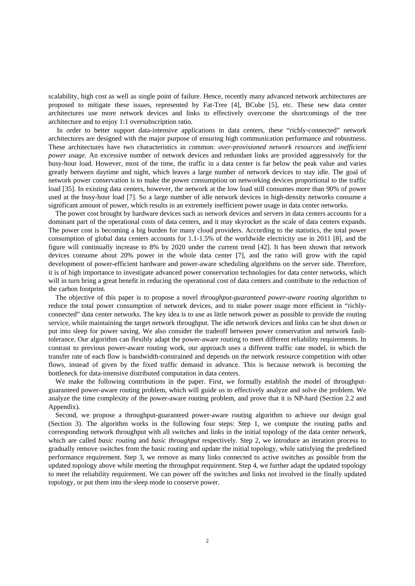scalability, high cost as well as single point of failure. Hence, recently many advanced network architectures are proposed to mitigate these issues, represented by Fat-Tree [4], BCube [5], etc. These new data center architectures use more network devices and links to effectively overcome the shortcomings of the tree architecture and to enjoy 1:1 oversubscription ratio.

In order to better support data-intensive applications in data centers, these "richly-connected" network architectures are designed with the major purpose of ensuring high communication performance and robustness. These architectures have two characteristics in common: *over-provisioned network resources* and *inefficient power usage*. An excessive number of network devices and redundant links are provided aggressively for the busy-hour load. However, most of the time, the traffic in a data center is far below the peak value and varies greatly between daytime and night, which leaves a large number of network devices to stay idle. The goal of network power conservation is to make the power consumption on networking devices proportional to the traffic load [35]. In existing data centers, however, the network at the low load still consumes more than 90% of power used at the busy-hour load [7]. So a large number of idle network devices in high-density networks consume a significant amount of power, which results in an extremely inefficient power usage in data center networks.

The power cost brought by hardware devices such as network devices and servers in data centers accounts for a dominant part of the operational costs of data centers, and it may skyrocket as the scale of data centers expands. The power cost is becoming a big burden for many cloud providers. According to the statistics, the total power consumption of global data centers accounts for 1.1-1.5% of the worldwide electricity use in 2011 [8], and the figure will continually increase to 8% by 2020 under the current trend [42]. It has been shown that network devices consume about 20% power in the whole data center [7], and the ratio will grow with the rapid development of power-efficient hardware and power-aware scheduling algorithms on the server side. Therefore, it is of high importance to investigate advanced power conservation technologies for data center networks, which will in turn bring a great benefit in reducing the operational cost of data centers and contribute to the reduction of the carbon footprint.

The objective of this paper is to propose a novel *throughput-guaranteed power-aware routing* algorithm to reduce the total power consumption of network devices, and to make power usage more efficient in "richlyconnected" data center networks. The key idea is to use as little network power as possible to provide the routing service, while maintaining the target network throughput. The idle network devices and links can be shut down or put into sleep for power saving. We also consider the tradeoff between power conservation and network faulttolerance. Our algorithm can flexibly adapt the power-aware routing to meet different reliability requirements. In contrast to previous power-aware routing work, our approach uses a different traffic rate model, in which the transfer rate of each flow is bandwidth-constrained and depends on the network resource competition with other flows, instead of given by the fixed traffic demand in advance. This is because network is becoming the bottleneck for data-intensive distributed computation in data centers.

We make the following contributions in the paper. First, we formally establish the model of throughputguaranteed power-aware routing problem, which will guide us to effectively analyze and solve the problem. We analyze the time complexity of the power-aware routing problem, and prove that it is NP-hard (Section 2.2 and Appendix).

Second, we propose a throughput-guaranteed power-aware routing algorithm to achieve our design goal (Section 3). The algorithm works in the following four steps: Step 1, we compute the routing paths and corresponding network throughput with all switches and links in the initial topology of the data center network, which are called *basic routing* and *basic throughput* respectively. Step 2, we introduce an iteration process to gradually remove switches from the basic routing and update the initial topology, while satisfying the predefined performance requirement. Step 3, we remove as many links connected to active switches as possible from the updated topology above while meeting the throughput requirement. Step 4, we further adapt the updated topology to meet the reliability requirement. We can power off the switches and links not involved in the finally updated topology, or put them into the sleep mode to conserve power.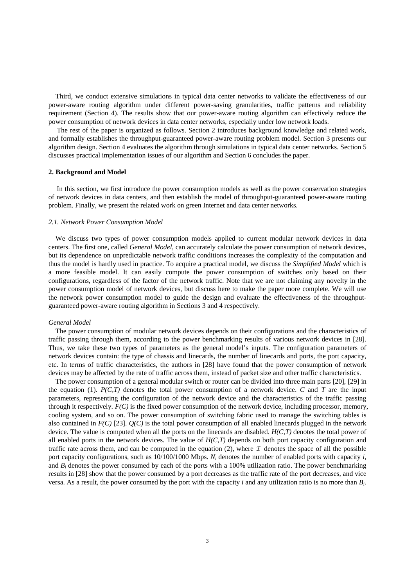Third, we conduct extensive simulations in typical data center networks to validate the effectiveness of our power-aware routing algorithm under different power-saving granularities, traffic patterns and reliability requirement (Section 4). The results show that our power-aware routing algorithm can effectively reduce the power consumption of network devices in data center networks, especially under low network loads.

The rest of the paper is organized as follows. Section 2 introduces background knowledge and related work, and formally establishes the throughput-guaranteed power-aware routing problem model. Section 3 presents our algorithm design. Section 4 evaluates the algorithm through simulations in typical data center networks. Section 5 discusses practical implementation issues of our algorithm and Section 6 concludes the paper.

## **2. Background and Model**

In this section, we first introduce the power consumption models as well as the power conservation strategies of network devices in data centers, and then establish the model of throughput-guaranteed power-aware routing problem. Finally, we present the related work on green Internet and data center networks.

## *2.1. Network Power Consumption Model*

We discuss two types of power consumption models applied to current modular network devices in data centers. The first one, called *General Model*, can accurately calculate the power consumption of network devices, but its dependence on unpredictable network traffic conditions increases the complexity of the computation and thus the model is hardly used in practice. To acquire a practical model, we discuss the *Simplified Model* which is a more feasible model. It can easily compute the power consumption of switches only based on their configurations, regardless of the factor of the network traffic. Note that we are not claiming any novelty in the power consumption model of network devices, but discuss here to make the paper more complete. We will use the network power consumption model to guide the design and evaluate the effectiveness of the throughputguaranteed power-aware routing algorithm in Sections 3 and 4 respectively.

### *General Model*

The power consumption of modular network devices depends on their configurations and the characteristics of traffic passing through them, according to the power benchmarking results of various network devices in [28]. Thus, we take these two types of parameters as the general model's inputs. The configuration parameters of network devices contain: the type of chassis and linecards, the number of linecards and ports, the port capacity, etc. In terms of traffic characteristics, the authors in [28] have found that the power consumption of network devices may be affected by the rate of traffic across them, instead of packet size and other traffic characteristics.

The power consumption of a general modular switch or router can be divided into three main parts [20], [29] in the equation (1).  $P(C,T)$  denotes the total power consumption of a network device. *C* and *T* are the input parameters, representing the configuration of the network device and the characteristics of the traffic passing through it respectively. *F(C)* is the fixed power consumption of the network device, including processor, memory, cooling system, and so on. The power consumption of switching fabric used to manage the switching tables is also contained in  $F(C)$  [23].  $O(C)$  is the total power consumption of all enabled linecards plugged in the network device. The value is computed when all the ports on the linecards are disabled. *H(C,T)* denotes the total power of all enabled ports in the network devices. The value of  $H(C,T)$  depends on both port capacity configuration and traffic rate across them, and can be computed in the equation (2), where  $\mathcal I$  denotes the space of all the possible port capacity configurations, such as 10/100/1000 Mbps. *Ni* denotes the number of enabled ports with capacity *i*, and  $B_i$  denotes the power consumed by each of the ports with a 100% utilization ratio. The power benchmarking results in [28] show that the power consumed by a port decreases as the traffic rate of the port decreases, and vice versa. As a result, the power consumed by the port with the capacity *i* and any utilization ratio is no more than *Bi*.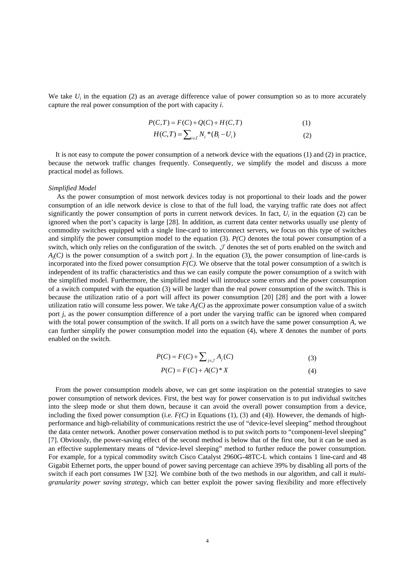We take  $U_i$  in the equation (2) as an average difference value of power consumption so as to more accurately capture the real power consumption of the port with capacity *i*.

$$
P(C,T) = F(C) + Q(C) + H(C,T)
$$
 (1)

 $H(C, T) = \sum_{i \in \mathcal{T}} N_i^* (B_i - U_i)$  (2)

It is not easy to compute the power consumption of a network device with the equations (1) and (2) in practice, because the network traffic changes frequently. Consequently, we simplify the model and discuss a more practical model as follows.

## *Simplified Model*

As the power consumption of most network devices today is not proportional to their loads and the power consumption of an idle network device is close to that of the full load, the varying traffic rate does not affect significantly the power consumption of ports in current network devices. In fact,  $U_i$  in the equation (2) can be ignored when the port's capacity is large [28]. In addition, as current data center networks usually use plenty of commodity switches equipped with a single line-card to interconnect servers, we focus on this type of switches and simplify the power consumption model to the equation (3). *P(C)* denotes the total power consumption of a switch, which only relies on the configuration of the switch.  $\mathcal J$  denotes the set of ports enabled on the switch and *Aj(C)* is the power consumption of a switch port *j*. In the equation (3), the power consumption of line-cards is incorporated into the fixed power consumption *F(C)*. We observe that the total power consumption of a switch is independent of its traffic characteristics and thus we can easily compute the power consumption of a switch with the simplified model. Furthermore, the simplified model will introduce some errors and the power consumption of a switch computed with the equation (3) will be larger than the real power consumption of the switch. This is because the utilization ratio of a port will affect its power consumption [20] [28] and the port with a lower utilization ratio will consume less power. We take  $A_i(C)$  as the approximate power consumption value of a switch port *j*, as the power consumption difference of a port under the varying traffic can be ignored when compared with the total power consumption of the switch. If all ports on a switch have the same power consumption *A*, we can further simplify the power consumption model into the equation (4), where *X* denotes the number of ports enabled on the switch.

$$
P(C) = F(C) + \sum_{j \in \mathcal{J}} A_j(C)
$$
(3)  

$$
P(C) = F(C) + A(C)^* X
$$
(4)

From the power consumption models above, we can get some inspiration on the potential strategies to save power consumption of network devices. First, the best way for power conservation is to put individual switches into the sleep mode or shut them down, because it can avoid the overall power consumption from a device, including the fixed power consumption (i.e. *F(C)* in Equations (1), (3) and (4)). However, the demands of highperformance and high-reliability of communications restrict the use of "device-level sleeping" method throughout the data center network. Another power conservation method is to put switch ports to "component-level sleeping" [7]. Obviously, the power-saving effect of the second method is below that of the first one, but it can be used as an effective supplementary means of "device-level sleeping" method to further reduce the power consumption. For example, for a typical commodity switch Cisco Catalyst 2960G-48TC-L which contains 1 line-card and 48 Gigabit Ethernet ports, the upper bound of power saving percentage can achieve 39% by disabling all ports of the switch if each port consumes 1W [32]. We combine both of the two methods in our algorithm, and call it *multigranularity power saving strategy*, which can better exploit the power saving flexibility and more effectively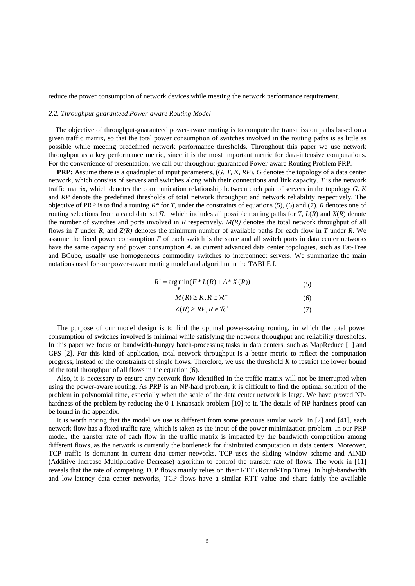reduce the power consumption of network devices while meeting the network performance requirement.

### *2.2. Throughput-guaranteed Power-aware Routing Model*

The objective of throughput-guaranteed power-aware routing is to compute the transmission paths based on a given traffic matrix, so that the total power consumption of switches involved in the routing paths is as little as possible while meeting predefined network performance thresholds. Throughout this paper we use network throughput as a key performance metric, since it is the most important metric for data-intensive computations. For the convenience of presentation, we call our throughput-guaranteed Power-aware Routing Problem PRP.

**PRP:** Assume there is a quadruplet of input parameters,  $(G, T, K, RP)$ . *G* denotes the topology of a data center network, which consists of servers and switches along with their connections and link capacity. *T* is the network traffic matrix, which denotes the communication relationship between each pair of servers in the topology *G*. *K* and *RP* denote the predefined thresholds of total network throughput and network reliability respectively. The objective of PRP is to find a routing  $R^*$  for *T*, under the constraints of equations (5), (6) and (7). *R* denotes one of routing selections from a candidate set  $\mathcal{R}^+$  which includes all possible routing paths for *T*,  $L(R)$  and  $X(R)$  denote the number of switches and ports involved in *R* respectively, *M(R)* denotes the total network throughput of all flows in *T* under *R*, and *Z(R)* denotes the minimum number of available paths for each flow in *T* under *R*. We assume the fixed power consumption *F* of each switch is the same and all switch ports in data center networks have the same capacity and power consumption *A*, as current advanced data center topologies, such as Fat-Tree and BCube, usually use homogeneous commodity switches to interconnect servers. We summarize the main notations used for our power-aware routing model and algorithm in the TABLE I.

$$
R^* = \underset{R}{\arg\min} (F^*L(R) + A^*X(R))
$$
\n<sup>(5)</sup>

$$
M(R) \ge K, R \in \mathcal{R}^+ \tag{6}
$$

$$
Z(R) \geq RP, R \in \mathcal{R}^+ \tag{7}
$$

The purpose of our model design is to find the optimal power-saving routing, in which the total power consumption of switches involved is minimal while satisfying the network throughput and reliability thresholds. In this paper we focus on bandwidth-hungry batch-processing tasks in data centers, such as MapReduce [1] and GFS [2]. For this kind of application, total network throughput is a better metric to reflect the computation progress, instead of the constraints of single flows. Therefore, we use the threshold *K* to restrict the lower bound of the total throughput of all flows in the equation (6).

Also, it is necessary to ensure any network flow identified in the traffic matrix will not be interrupted when using the power-aware routing. As PRP is an NP-hard problem, it is difficult to find the optimal solution of the problem in polynomial time, especially when the scale of the data center network is large. We have proved NPhardness of the problem by reducing the 0-1 Knapsack problem [10] to it. The details of NP-hardness proof can be found in the appendix.

It is worth noting that the model we use is different from some previous similar work. In [7] and [41], each network flow has a fixed traffic rate, which is taken as the input of the power minimization problem. In our PRP model, the transfer rate of each flow in the traffic matrix is impacted by the bandwidth competition among different flows, as the network is currently the bottleneck for distributed computation in data centers. Moreover, TCP traffic is dominant in current data center networks. TCP uses the sliding window scheme and AIMD (Additive Increase Multiplicative Decrease) algorithm to control the transfer rate of flows. The work in [11] reveals that the rate of competing TCP flows mainly relies on their RTT (Round-Trip Time). In high-bandwidth and low-latency data center networks, TCP flows have a similar RTT value and share fairly the available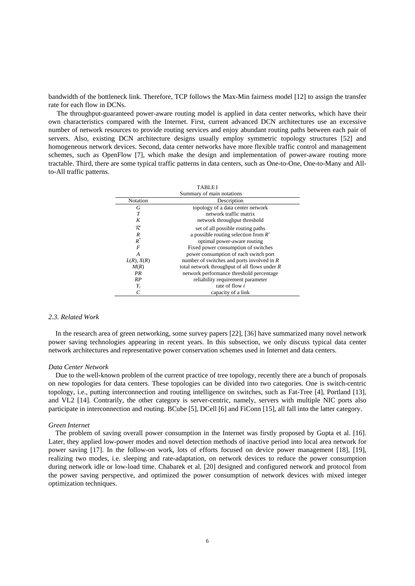bandwidth of the bottleneck link. Therefore, TCP follows the Max-Min fairness model [12] to assign the transfer rate for each flow in DCNs.

The throughput-guaranteed power-aware routing model is applied in data center networks, which have their own characteristics compared with the Internet. First, current advanced DCN architectures use an excessive number of network resources to provide routing services and enjoy abundant routing paths between each pair of servers. Also, existing DCN architecture designs usually employ symmetric topology structures [52] and homogeneous network devices. Second, data center networks have more flexible traffic control and management schemes, such as OpenFlow [7], which make the design and implementation of power-aware routing more tractable. Third, there are some typical traffic patterns in data centers, such as One-to-One, One-to-Many and Allto-All traffic patterns.

|                                        | TABLEI                                          |  |  |  |
|----------------------------------------|-------------------------------------------------|--|--|--|
| Summary of main notations              |                                                 |  |  |  |
| Notation                               | Description                                     |  |  |  |
| G                                      | topology of a data center network               |  |  |  |
| T                                      | network traffic matrix                          |  |  |  |
| K                                      | network throughput threshold                    |  |  |  |
| $\mathcal{R}^{\scriptscriptstyle\! +}$ | set of all possible routing paths               |  |  |  |
| R                                      | a possible routing selection from $R^+$         |  |  |  |
| $R^*$                                  | optimal power-aware routing                     |  |  |  |
| F                                      | Fixed power consumption of switches             |  |  |  |
| A                                      | power consumption of each switch port           |  |  |  |
| $L(R)$ , $X(R)$                        | number of switches and ports involved in $R$    |  |  |  |
| M(R)                                   | total network throughput of all flows under $R$ |  |  |  |
| PR                                     | network performance threshold percentage        |  |  |  |
| <b>RP</b>                              | reliability requirement parameter               |  |  |  |
| $Y_i$                                  | rate of flow $i$                                |  |  |  |
|                                        | capacity of a link                              |  |  |  |

# *2.3. Related Work*

In the research area of green networking, some survey papers [22], [36] have summarized many novel network power saving technologies appearing in recent years. In this subsection, we only discuss typical data center network architectures and representative power conservation schemes used in Internet and data centers.

### *Data Center Network*

Due to the well-known problem of the current practice of tree topology, recently there are a bunch of proposals on new topologies for data centers. These topologies can be divided into two categories. One is switch-centric topology, i.e., putting interconnection and routing intelligence on switches, such as Fat-Tree [4], Portland [13], and VL2 [14]. Contrarily, the other category is server-centric, namely, servers with multiple NIC ports also participate in interconnection and routing. BCube [5], DCell [6] and FiConn [15], all fall into the latter category.

#### *Green Internet*

The problem of saving overall power consumption in the Internet was firstly proposed by Gupta et al. [16]. Later, they applied low-power modes and novel detection methods of inactive period into local area network for power saving [17]. In the follow-on work, lots of efforts focused on device power management [18], [19], realizing two modes, i.e. sleeping and rate-adaptation, on network devices to reduce the power consumption during network idle or low-load time. Chabarek et al. [20] designed and configured network and protocol from the power saving perspective, and optimized the power consumption of network devices with mixed integer optimization techniques.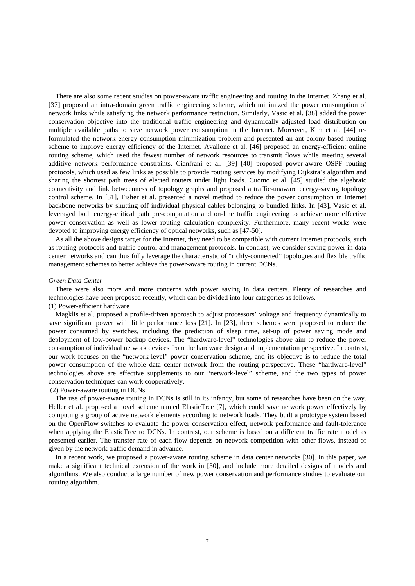There are also some recent studies on power-aware traffic engineering and routing in the Internet. Zhang et al. [37] proposed an intra-domain green traffic engineering scheme, which minimized the power consumption of network links while satisfying the network performance restriction. Similarly, Vasic et al. [38] added the power conservation objective into the traditional traffic engineering and dynamically adjusted load distribution on multiple available paths to save network power consumption in the Internet. Moreover, Kim et al. [44] reformulated the network energy consumption minimization problem and presented an ant colony-based routing scheme to improve energy efficiency of the Internet. Avallone et al. [46] proposed an energy-efficient online routing scheme, which used the fewest number of network resources to transmit flows while meeting several additive network performance constraints. Cianfrani et al. [39] [40] proposed power-aware OSPF routing protocols, which used as few links as possible to provide routing services by modifying Dijkstra's algorithm and sharing the shortest path trees of elected routers under light loads. Cuomo et al. [45] studied the algebraic connectivity and link betweenness of topology graphs and proposed a traffic-unaware energy-saving topology control scheme. In [31], Fisher et al. presented a novel method to reduce the power consumption in Internet backbone networks by shutting off individual physical cables belonging to bundled links. In [43], Vasic et al. leveraged both energy-critical path pre-computation and on-line traffic engineering to achieve more effective power conservation as well as lower routing calculation complexity. Furthermore, many recent works were devoted to improving energy efficiency of optical networks, such as [47-50].

As all the above designs target for the Internet, they need to be compatible with current Internet protocols, such as routing protocols and traffic control and management protocols. In contrast, we consider saving power in data center networks and can thus fully leverage the characteristic of "richly-connected" topologies and flexible traffic management schemes to better achieve the power-aware routing in current DCNs.

## *Green Data Center*

There were also more and more concerns with power saving in data centers. Plenty of researches and technologies have been proposed recently, which can be divided into four categories as follows. (1) Power-efficient hardware

Magklis et al. proposed a profile-driven approach to adjust processors' voltage and frequency dynamically to save significant power with little performance loss [21]. In [23], three schemes were proposed to reduce the power consumed by switches, including the prediction of sleep time, set-up of power saving mode and deployment of low-power backup devices. The "hardware-level" technologies above aim to reduce the power consumption of individual network devices from the hardware design and implementation perspective. In contrast, our work focuses on the "network-level" power conservation scheme, and its objective is to reduce the total power consumption of the whole data center network from the routing perspective. These "hardware-level" technologies above are effective supplements to our "network-level" scheme, and the two types of power conservation techniques can work cooperatively.

### (2) Power-aware routing in DCNs

The use of power-aware routing in DCNs is still in its infancy, but some of researches have been on the way. Heller et al. proposed a novel scheme named ElasticTree [7], which could save network power effectively by computing a group of active network elements according to network loads. They built a prototype system based on the OpenFlow switches to evaluate the power conservation effect, network performance and fault-tolerance when applying the ElasticTree to DCNs. In contrast, our scheme is based on a different traffic rate model as presented earlier. The transfer rate of each flow depends on network competition with other flows, instead of given by the network traffic demand in advance.

In a recent work, we proposed a power-aware routing scheme in data center networks [30]. In this paper, we make a significant technical extension of the work in [30], and include more detailed designs of models and algorithms. We also conduct a large number of new power conservation and performance studies to evaluate our routing algorithm.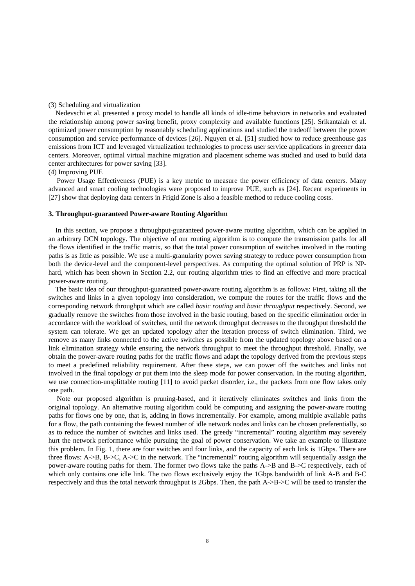# (3) Scheduling and virtualization

Nedevschi et al. presented a proxy model to handle all kinds of idle-time behaviors in networks and evaluated the relationship among power saving benefit, proxy complexity and available functions [25]. Srikantaiah et al. optimized power consumption by reasonably scheduling applications and studied the tradeoff between the power consumption and service performance of devices [26]. Nguyen et al. [51] studied how to reduce greenhouse gas emissions from ICT and leveraged virtualization technologies to process user service applications in greener data centers. Moreover, optimal virtual machine migration and placement scheme was studied and used to build data center architectures for power saving [33].

# (4) Improving PUE

Power Usage Effectiveness (PUE) is a key metric to measure the power efficiency of data centers. Many advanced and smart cooling technologies were proposed to improve PUE, such as [24]. Recent experiments in [27] show that deploying data centers in Frigid Zone is also a feasible method to reduce cooling costs.

### **3. Throughput-guaranteed Power-aware Routing Algorithm**

In this section, we propose a throughput-guaranteed power-aware routing algorithm, which can be applied in an arbitrary DCN topology. The objective of our routing algorithm is to compute the transmission paths for all the flows identified in the traffic matrix, so that the total power consumption of switches involved in the routing paths is as little as possible. We use a multi-granularity power saving strategy to reduce power consumption from both the device-level and the component-level perspectives. As computing the optimal solution of PRP is NPhard, which has been shown in Section 2.2, our routing algorithm tries to find an effective and more practical power-aware routing.

The basic idea of our throughput-guaranteed power-aware routing algorithm is as follows: First, taking all the switches and links in a given topology into consideration, we compute the routes for the traffic flows and the corresponding network throughput which are called *basic routing* and *basic throughput* respectively. Second, we gradually remove the switches from those involved in the basic routing, based on the specific elimination order in accordance with the workload of switches, until the network throughput decreases to the throughput threshold the system can tolerate. We get an updated topology after the iteration process of switch elimination. Third, we remove as many links connected to the active switches as possible from the updated topology above based on a link elimination strategy while ensuring the network throughput to meet the throughput threshold. Finally, we obtain the power-aware routing paths for the traffic flows and adapt the topology derived from the previous steps to meet a predefined reliability requirement. After these steps, we can power off the switches and links not involved in the final topology or put them into the sleep mode for power conservation. In the routing algorithm, we use connection-unsplittable routing [11] to avoid packet disorder, i.e., the packets from one flow takes only one path.

Note our proposed algorithm is pruning-based, and it iteratively eliminates switches and links from the original topology. An alternative routing algorithm could be computing and assigning the power-aware routing paths for flows one by one, that is, adding in flows incrementally. For example, among multiple available paths for a flow, the path containing the fewest number of idle network nodes and links can be chosen preferentially, so as to reduce the number of switches and links used. The greedy "incremental" routing algorithm may severely hurt the network performance while pursuing the goal of power conservation. We take an example to illustrate this problem. In Fig. 1, there are four switches and four links, and the capacity of each link is 1Gbps. There are three flows: A->B, B->C, A->C in the network. The "incremental" routing algorithm will sequentially assign the power-aware routing paths for them. The former two flows take the paths A->B and B->C respectively, each of which only contains one idle link. The two flows exclusively enjoy the 1Gbps bandwidth of link A-B and B-C respectively and thus the total network throughput is 2Gbps. Then, the path A->B->C will be used to transfer the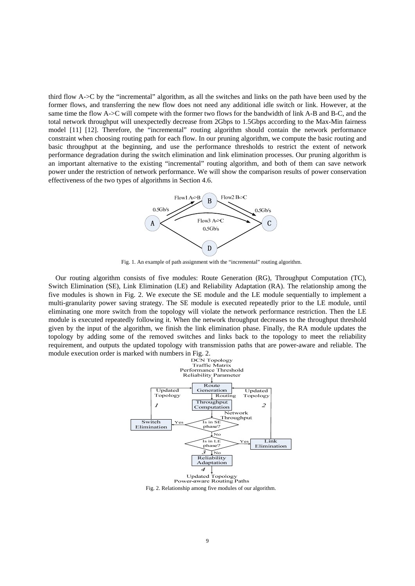third flow A->C by the "incremental" algorithm, as all the switches and links on the path have been used by the former flows, and transferring the new flow does not need any additional idle switch or link. However, at the same time the flow A- $>$ C will compete with the former two flows for the bandwidth of link A-B and B-C, and the total network throughput will unexpectedly decrease from 2Gbps to 1.5Gbps according to the Max-Min fairness model [11] [12]. Therefore, the "incremental" routing algorithm should contain the network performance constraint when choosing routing path for each flow. In our pruning algorithm, we compute the basic routing and basic throughput at the beginning, and use the performance thresholds to restrict the extent of network performance degradation during the switch elimination and link elimination processes. Our pruning algorithm is an important alternative to the existing "incremental" routing algorithm, and both of them can save network power under the restriction of network performance. We will show the comparison results of power conservation effectiveness of the two types of algorithms in Section 4.6.



Fig. 1. An example of path assignment with the "incremental" routing algorithm.

Our routing algorithm consists of five modules: Route Generation (RG), Throughput Computation (TC), Switch Elimination (SE), Link Elimination (LE) and Reliability Adaptation (RA). The relationship among the five modules is shown in Fig. 2. We execute the SE module and the LE module sequentially to implement a multi-granularity power saving strategy. The SE module is executed repeatedly prior to the LE module, until eliminating one more switch from the topology will violate the network performance restriction. Then the LE module is executed repeatedly following it. When the network throughput decreases to the throughput threshold given by the input of the algorithm, we finish the link elimination phase. Finally, the RA module updates the topology by adding some of the removed switches and links back to the topology to meet the reliability requirement, and outputs the updated topology with transmission paths that are power-aware and reliable. The module execution order is marked with numbers in Fig. 2.

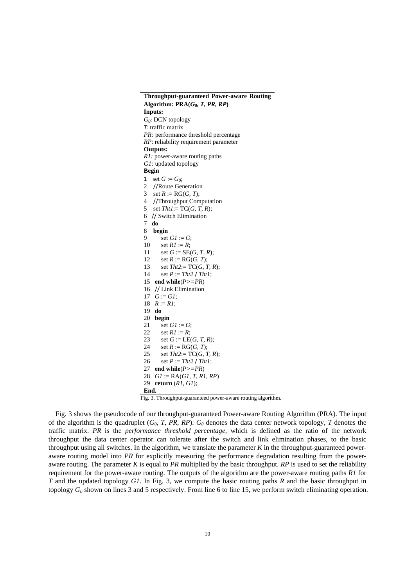**Throughput-guaranteed Power-aware Routing**  Algorithm:  $PRA(G_0, T, PR, RP)$ **Inputs:**  *G0:* DCN topology *T*: traffic matrix *PR:* performance threshold percentage *RP*: reliability requirement parameter **Outputs:**  *R1:* power-aware routing paths *G1:* updated topology **Begin**  1 set  $G := G_0$ ; 2 //Route Generation 3 set  $R := \text{RG}(G, T)$ : 4 //Throughput Computation 5 set  $Tht1:= TC(G, T, R);$ 6 // Switch Elimination<br>7  $\frac{d}{d\theta}$ 7 **do** 8 **begin**  9 set  $GI := G$ ; 10  $\text{set } R1 := R;$ 11 set  $G := SE(G, T, R);$ 12 set  $R := R G(G, T)$ ; 13 set *Tht2*:= TC(*G, T, R*); 14 set *P* := *Tht2* / *Tht1*; 15 **end while**(*P>=PR*) 16 // Link Elimination 17  $G := GI$ ; 18  $R := R1$ ; 19 **do** 20 **begin**  21 set  $GI := G$ ; 22 set  $R1 := R$ ; 23 set  $G := \text{LE}(G, T, R)$ ; 24 set  $R := R G(G, T);$ 25 set *Tht2*:= TC(*G, T, R*); 26 set *P* := *Tht2* / *Tht1*; 27 **end while**(*P>=PR*) 28 *G1* := RA(*G1, T, R1, RP*) 29 **return** (*R1, G1*); **End.**

Fig. 3. Throughput-guaranteed power-aware routing algorithm.

Fig. 3 shows the pseudocode of our throughput-guaranteed Power-aware Routing Algorithm (PRA). The input of the algorithm is the quadruplet  $(G_0, T, PR, RP)$ .  $G_0$  denotes the data center network topology,  $T$  denotes the traffic matrix. *PR* is the *performance threshold percentage*, which is defined as the ratio of the network throughput the data center operator can tolerate after the switch and link elimination phases, to the basic throughput using all switches. In the algorithm, we translate the parameter  $K$  in the throughput-guaranteed poweraware routing model into *PR* for explicitly measuring the performance degradation resulting from the poweraware routing. The parameter *K* is equal to *PR* multiplied by the basic throughput. *RP* is used to set the reliability requirement for the power-aware routing. The outputs of the algorithm are the power-aware routing paths *R1* for *T* and the updated topology *G1*. In Fig. 3, we compute the basic routing paths *R* and the basic throughput in topology *G0* shown on lines 3 and 5 respectively. From line 6 to line 15, we perform switch eliminating operation.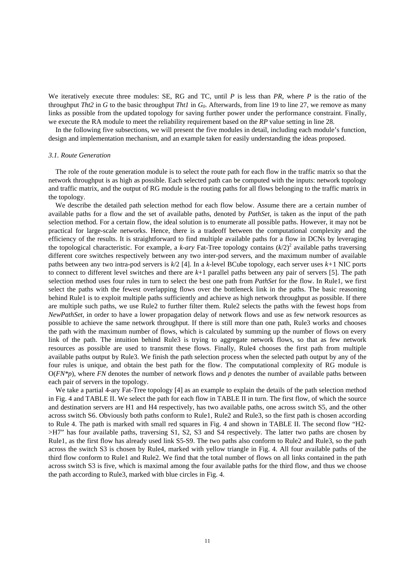We iteratively execute three modules: SE, RG and TC, until *P* is less than *PR*, where *P* is the ratio of the throughput *Tht2* in *G* to the basic throughput *Tht1* in  $G_0$ . Afterwards, from line 19 to line 27, we remove as many links as possible from the updated topology for saving further power under the performance constraint. Finally, we execute the RA module to meet the reliability requirement based on the *RP* value setting in line 28.

In the following five subsections, we will present the five modules in detail, including each module's function, design and implementation mechanism, and an example taken for easily understanding the ideas proposed.

### *3.1. Route Generation*

The role of the route generation module is to select the route path for each flow in the traffic matrix so that the network throughput is as high as possible. Each selected path can be computed with the inputs: network topology and traffic matrix, and the output of RG module is the routing paths for all flows belonging to the traffic matrix in the topology.

We describe the detailed path selection method for each flow below. Assume there are a certain number of available paths for a flow and the set of available paths, denoted by *PathSet*, is taken as the input of the path selection method. For a certain flow, the ideal solution is to enumerate all possible paths. However, it may not be practical for large-scale networks. Hence, there is a tradeoff between the computational complexity and the efficiency of the results. It is straightforward to find multiple available paths for a flow in DCNs by leveraging the topological characteristic. For example, a *k-ary* Fat-Tree topology contains  $(k/2)^2$  available paths traversing different core switches respectively between any two inter-pod servers, and the maximum number of available paths between any two intra-pod servers is *k*/2 [4]. In a *k*-level BCube topology, each server uses *k+*1 NIC ports to connect to different level switches and there are *k*+1 parallel paths between any pair of servers [5]. The path selection method uses four rules in turn to select the best one path from *PathSet* for the flow. In Rule1, we first select the paths with the fewest overlapping flows over the bottleneck link in the paths. The basic reasoning behind Rule1 is to exploit multiple paths sufficiently and achieve as high network throughput as possible. If there are multiple such paths, we use Rule2 to further filter them. Rule2 selects the paths with the fewest hops from *NewPathSet*, in order to have a lower propagation delay of network flows and use as few network resources as possible to achieve the same network throughput. If there is still more than one path, Rule3 works and chooses the path with the maximum number of flows, which is calculated by summing up the number of flows on every link of the path. The intuition behind Rule3 is trying to aggregate network flows, so that as few network resources as possible are used to transmit these flows. Finally, Rule4 chooses the first path from multiple available paths output by Rule3. We finish the path selection process when the selected path output by any of the four rules is unique, and obtain the best path for the flow. The computational complexity of RG module is  $O(FN^*p)$ , where *FN* denotes the number of network flows and *p* denotes the number of available paths between each pair of servers in the topology.

We take a partial 4-ary Fat-Tree topology [4] as an example to explain the details of the path selection method in Fig. 4 and TABLE II. We select the path for each flow in TABLE II in turn. The first flow, of which the source and destination servers are H1 and H4 respectively, has two available paths, one across switch S5, and the other across switch S6. Obviously both paths conform to Rule1, Rule2 and Rule3, so the first path is chosen according to Rule 4. The path is marked with small red squares in Fig. 4 and shown in TABLE II. The second flow "H2- >H7" has four available paths, traversing S1, S2, S3 and S4 respectively. The latter two paths are chosen by Rule1, as the first flow has already used link S5-S9. The two paths also conform to Rule2 and Rule3, so the path across the switch S3 is chosen by Rule4, marked with yellow triangle in Fig. 4. All four available paths of the third flow conform to Rule1 and Rule2. We find that the total number of flows on all links contained in the path across switch S3 is five, which is maximal among the four available paths for the third flow, and thus we choose the path according to Rule3, marked with blue circles in Fig. 4.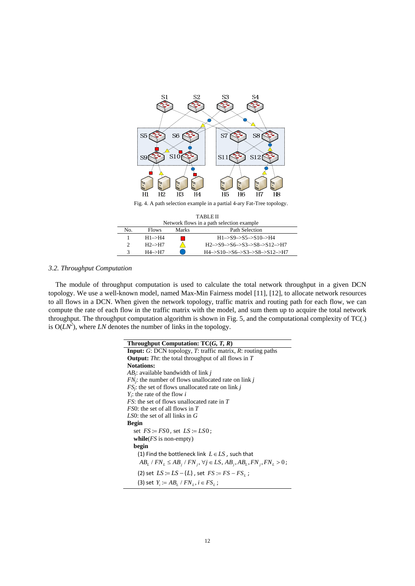

Fig. 4. A path selection example in a partial 4-ary Fat-Tree topology.

|                                            |                     |       | TABLE II                       |  |  |  |
|--------------------------------------------|---------------------|-------|--------------------------------|--|--|--|
| Network flows in a path selection example. |                     |       |                                |  |  |  |
| No.                                        | <b>Flows</b>        | Marks | <b>Path Selection</b>          |  |  |  |
|                                            | $H1 \rightarrow H4$ |       | $H1 - >S9 - >S5 - >S10 - >H4$  |  |  |  |
| $\mathcal{L}$                              | $H2\rightarrow H7$  |       | $H2->S9->S6->S3->S8->S12->H7$  |  |  |  |
|                                            | $H4 \rightarrow H7$ |       | $H4->S10->S6->S3->S8->S12->H7$ |  |  |  |

# *3.2. Throughput Computation*

The module of throughput computation is used to calculate the total network throughput in a given DCN topology. We use a well-known model, named Max-Min Fairness model [11], [12], to allocate network resources to all flows in a DCN. When given the network topology, traffic matrix and routing path for each flow, we can compute the rate of each flow in the traffic matrix with the model, and sum them up to acquire the total network throughput. The throughput computation algorithm is shown in Fig. 5, and the computational complexity of TC(.) is  $O(LN^2)$ , where *LN* denotes the number of links in the topology.

| Throughput Computation: $TC(G, T, R)$                                                                            |
|------------------------------------------------------------------------------------------------------------------|
| <b>Input:</b> G: DCN topology, T: traffic matrix, R: routing paths                                               |
| <b>Output:</b> Tht: the total throughput of all flows in T                                                       |
| <b>Notations:</b>                                                                                                |
| $AB_i$ : available bandwidth of link j                                                                           |
| $FN_i$ : the number of flows unallocated rate on link j                                                          |
| $FS_i$ : the set of flows unallocated rate on link j                                                             |
| $Y_i$ : the rate of the flow i                                                                                   |
| <i>FS</i> : the set of flows unallocated rate in T                                                               |
| <i>FS</i> 0: the set of all flows in T                                                                           |
| LSO: the set of all links in $G$                                                                                 |
| Begin                                                                                                            |
| set $FS = FS0$ , set $LS = LS0$ ;                                                                                |
| while $(FS \text{ is non-empty})$                                                                                |
| begin                                                                                                            |
| (1) Find the bottleneck link $L \in LS$ , such that                                                              |
| $AB_{L}$ / $FN_{L} \le AB_{i}$ / $FN_{i}$ , $\forall j \in LS$ , $AB_{i}$ , $AB_{L}$ , $FN_{i}$ , $FN_{L} > 0$ ; |
| (2) set $LS = LS - \{L\}$ , set $FS = FS - FS$ , ;                                                               |
| (3) set $Y_i := AB_i / FN_i, i \in FS_i$ ;                                                                       |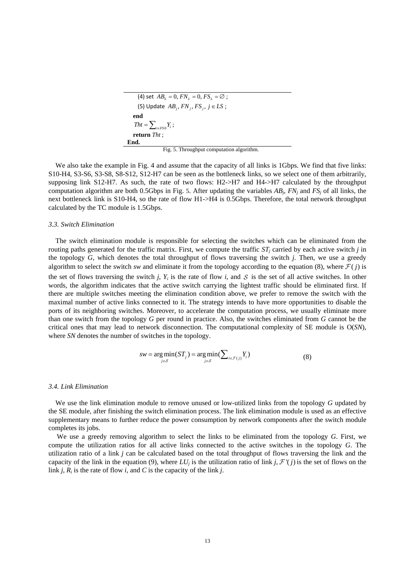(4) set 
$$
AB_L = 0
$$
,  $FN_L = 0$ ,  $FS_L = \emptyset$ ;  
\n(5) Update  $AB_j$ ,  $FN_j$ ,  $FS_j$ ,  $j \in LS$ ;  
\nend  
\n
$$
Tht = \sum_{i \in FS0} Y_i
$$
;  
\nreturn  $Tht$ ;  
\nEnd.

Fig. 5. Throughput computation algorithm.

We also take the example in Fig. 4 and assume that the capacity of all links is 1Gbps. We find that five links: S10-H4, S3-S6, S3-S8, S8-S12, S12-H7 can be seen as the bottleneck links, so we select one of them arbitrarily, supposing link S12-H7. As such, the rate of two flows: H2->H7 and H4->H7 calculated by the throughput computation algorithm are both 0.5Gbps in Fig. 5. After updating the variables  $AB_i$ ,  $FN_i$  and  $FS_i$  of all links, the next bottleneck link is S10-H4, so the rate of flow H1->H4 is 0.5Gbps. Therefore, the total network throughput calculated by the TC module is 1.5Gbps.

# *3.3. Switch Elimination*

The switch elimination module is responsible for selecting the switches which can be eliminated from the routing paths generated for the traffic matrix. First, we compute the traffic  $ST_i$  carried by each active switch *j* in the topology *G*, which denotes the total throughput of flows traversing the switch *j*. Then, we use a greedy algorithm to select the switch *sw* and eliminate it from the topology according to the equation (8), where  $\mathcal{F}(j)$  is the set of flows traversing the switch *j*,  $Y_i$  is the rate of flow *i*, and  $S$  is the set of all active switches. In other words, the algorithm indicates that the active switch carrying the lightest traffic should be eliminated first. If there are multiple switches meeting the elimination condition above, we prefer to remove the switch with the maximal number of active links connected to it. The strategy intends to have more opportunities to disable the ports of its neighboring switches. Moreover, to accelerate the computation process, we usually eliminate more than one switch from the topology *G* per round in practice. Also, the switches eliminated from *G* cannot be the critical ones that may lead to network disconnection. The computational complexity of SE module is O(*SN*), where *SN* denotes the number of switches in the topology.

$$
sw = \underset{j \in \mathcal{S}}{\arg \min} (ST_j) = \underset{j \in \mathcal{S}}{\arg \min} (\sum_{i \in \mathcal{F}(j)} Y_i)
$$
(8)

## *3.4. Link Elimination*

We use the link elimination module to remove unused or low-utilized links from the topology *G* updated by the SE module, after finishing the switch elimination process. The link elimination module is used as an effective supplementary means to further reduce the power consumption by network components after the switch module completes its jobs.

We use a greedy removing algorithm to select the links to be eliminated from the topology *G*. First, we compute the utilization ratios for all active links connected to the active switches in the topology *G*. The utilization ratio of a link *j* can be calculated based on the total throughput of flows traversing the link and the capacity of the link in the equation (9), where  $LU_i$  is the utilization ratio of link *j*,  $\mathcal{F}'(i)$  is the set of flows on the link *j*,  $R_i$  is the rate of flow *i*, and *C* is the capacity of the link *j*.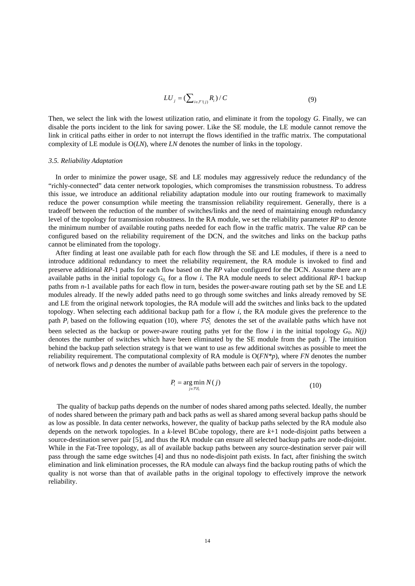$$
LU_j = \left(\sum_{i \in \mathcal{F}(j)} R_i\right) / C \tag{9}
$$

Then, we select the link with the lowest utilization ratio, and eliminate it from the topology *G*. Finally, we can disable the ports incident to the link for saving power. Like the SE module, the LE module cannot remove the link in critical paths either in order to not interrupt the flows identified in the traffic matrix. The computational complexity of LE module is O(*LN*), where *LN* denotes the number of links in the topology.

#### *3.5. Reliability Adaptation*

In order to minimize the power usage, SE and LE modules may aggressively reduce the redundancy of the "richly-connected" data center network topologies, which compromises the transmission robustness. To address this issue, we introduce an additional reliability adaptation module into our routing framework to maximally reduce the power consumption while meeting the transmission reliability requirement. Generally, there is a tradeoff between the reduction of the number of switches/links and the need of maintaining enough redundancy level of the topology for transmission robustness. In the RA module, we set the reliability parameter *RP* to denote the minimum number of available routing paths needed for each flow in the traffic matrix. The value *RP* can be configured based on the reliability requirement of the DCN, and the switches and links on the backup paths cannot be eliminated from the topology.

After finding at least one available path for each flow through the SE and LE modules, if there is a need to introduce additional redundancy to meet the reliability requirement, the RA module is invoked to find and preserve additional *RP*-1 paths for each flow based on the *RP* value configured for the DCN. Assume there are *n* available paths in the initial topology *G0,* for a flow *i*. The RA module needs to select additional *RP*-1 backup paths from *n*-1 available paths for each flow in turn, besides the power-aware routing path set by the SE and LE modules already. If the newly added paths need to go through some switches and links already removed by SE and LE from the original network topologies, the RA module will add the switches and links back to the updated topology. When selecting each additional backup path for a flow *i*, the RA module gives the preference to the path  $P_i$  based on the following equation (10), where  $PS$ , denotes the set of the available paths which have not been selected as the backup or power-aware routing paths yet for the flow *i* in the initial topology  $G_0$ .  $N(j)$ denotes the number of switches which have been eliminated by the SE module from the path *j*. The intuition behind the backup path selection strategy is that we want to use as few additional switches as possible to meet the reliability requirement. The computational complexity of RA module is O(*FN\*p*), where *FN* denotes the number of network flows and *p* denotes the number of available paths between each pair of servers in the topology.

$$
P_i = \underset{j \in \mathcal{PS}_i}{\arg \min} N(j) \tag{10}
$$

The quality of backup paths depends on the number of nodes shared among paths selected. Ideally, the number of nodes shared between the primary path and back paths as well as shared among several backup paths should be as low as possible. In data center networks, however, the quality of backup paths selected by the RA module also depends on the network topologies. In a *k*-level BCube topology, there are *k*+1 node-disjoint paths between a source-destination server pair [5], and thus the RA module can ensure all selected backup paths are node-disjoint. While in the Fat-Tree topology, as all of available backup paths between any source-destination server pair will pass through the same edge switches [4] and thus no node-disjoint path exists. In fact, after finishing the switch elimination and link elimination processes, the RA module can always find the backup routing paths of which the quality is not worse than that of available paths in the original topology to effectively improve the network reliability.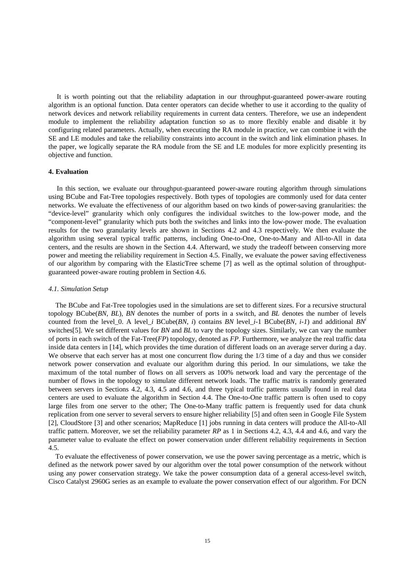It is worth pointing out that the reliability adaptation in our throughput-guaranteed power-aware routing algorithm is an optional function. Data center operators can decide whether to use it according to the quality of network devices and network reliability requirements in current data centers. Therefore, we use an independent module to implement the reliability adaptation function so as to more flexibly enable and disable it by configuring related parameters. Actually, when executing the RA module in practice, we can combine it with the SE and LE modules and take the reliability constraints into account in the switch and link elimination phases. In the paper, we logically separate the RA module from the SE and LE modules for more explicitly presenting its objective and function.

# **4. Evaluation**

In this section, we evaluate our throughput-guaranteed power-aware routing algorithm through simulations using BCube and Fat-Tree topologies respectively. Both types of topologies are commonly used for data center networks. We evaluate the effectiveness of our algorithm based on two kinds of power-saving granularities: the "device-level" granularity which only configures the individual switches to the low-power mode, and the "component-level" granularity which puts both the switches and links into the low-power mode. The evaluation results for the two granularity levels are shown in Sections 4.2 and 4.3 respectively. We then evaluate the algorithm using several typical traffic patterns, including One-to-One, One-to-Many and All-to-All in data centers, and the results are shown in the Section 4.4. Afterward, we study the tradeoff between conserving more power and meeting the reliability requirement in Section 4.5. Finally, we evaluate the power saving effectiveness of our algorithm by comparing with the ElasticTree scheme [7] as well as the optimal solution of throughputguaranteed power-aware routing problem in Section 4.6.

## *4.1. Simulation Setup*

The BCube and Fat-Tree topologies used in the simulations are set to different sizes. For a recursive structural topology BCube(*BN*, *BL*), *BN* denotes the number of ports in a switch, and *BL* denotes the number of levels counted from the level 0. A level *i* BCube(*BN*, *i*) contains *BN* level *i*-1 BCube(*BN*, *i-1*) and additional  $BN<sup>i</sup>$ switches[5]. We set different values for *BN* and *BL* to vary the topology sizes. Similarly, we can vary the number of ports in each switch of the Fat-Tree(*FP*) topology, denoted as *FP*. Furthermore, we analyze the real traffic data inside data centers in [14], which provides the time duration of different loads on an average server during a day. We observe that each server has at most one concurrent flow during the 1/3 time of a day and thus we consider network power conservation and evaluate our algorithm during this period. In our simulations, we take the maximum of the total number of flows on all servers as 100% network load and vary the percentage of the number of flows in the topology to simulate different network loads. The traffic matrix is randomly generated between servers in Sections 4.2, 4.3, 4.5 and 4.6, and three typical traffic patterns usually found in real data centers are used to evaluate the algorithm in Section 4.4. The One-to-One traffic pattern is often used to copy large files from one server to the other; The One-to-Many traffic pattern is frequently used for data chunk replication from one server to several servers to ensure higher reliability [5] and often seen in Google File System [2], CloudStore [3] and other scenarios; MapReduce [1] jobs running in data centers will produce the All-to-All traffic pattern. Moreover, we set the reliability parameter *RP* as 1 in Sections 4.2, 4.3, 4.4 and 4.6, and vary the parameter value to evaluate the effect on power conservation under different reliability requirements in Section 4.5.

To evaluate the effectiveness of power conservation, we use the power saving percentage as a metric, which is defined as the network power saved by our algorithm over the total power consumption of the network without using any power conservation strategy. We take the power consumption data of a general access-level switch, Cisco Catalyst 2960G series as an example to evaluate the power conservation effect of our algorithm. For DCN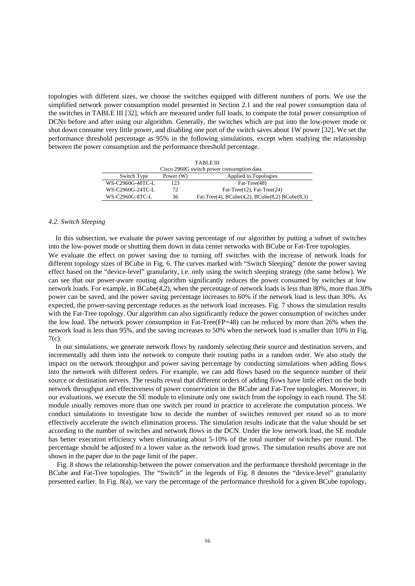topologies with different sizes, we choose the switches equipped with different numbers of ports. We use the simplified network power consumption model presented in Section 2.1 and the real power consumption data of the switches in TABLE III [32], which are measured under full loads, to compute the total power consumption of DCNs before and after using our algorithm. Generally, the switches which are put into the low-power mode or shut down consume very little power, and disabling one port of the switch saves about 1W power [32]. We set the performance threshold percentage as 95% in the following simulations, except when studying the relationship between the power consumption and the performance threshold percentage.

|                                           |             | <b>TABLE III</b>                               |  |  |  |
|-------------------------------------------|-------------|------------------------------------------------|--|--|--|
| Cisco 2960G switch power consumption data |             |                                                |  |  |  |
| Switch Type                               | Power $(W)$ | Applied to Topologies                          |  |  |  |
| WS-C2960G-48TC-L                          | 123         | Fat-Tree $(48)$                                |  |  |  |
| WS-C2960G-24TC-L                          | 72          | Fat-Tree $(12)$ , Fat-Tree $(24)$              |  |  |  |
| WS-C2960G-8TC-L                           | 36          | Fat-Tree(4), BCube(4,2), BCube(8,2) BCube(8,3) |  |  |  |

### *4.2. Switch Sleeping*

In this subsection, we evaluate the power saving percentage of our algorithm by putting a subset of switches into the low-power mode or shutting them down in data center networks with BCube or Fat-Tree topologies. We evaluate the effect on power saving due to turning off switches with the increase of network loads for different topology sizes of BCube in Fig. 6. The curves marked with "Switch Sleeping" denote the power saving effect based on the "device-level" granularity, i.e. only using the switch sleeping strategy (the same below). We can see that our power-aware routing algorithm significantly reduces the power consumed by switches at low network loads. For example, in BCube(4,2), when the percentage of network loads is less than 80%, more than 30% power can be saved, and the power saving percentage increases to 60% if the network load is less than 30%. As expected, the power-saving percentage reduces as the network load increases. Fig. 7 shows the simulation results with the Fat-Tree topology. Our algorithm can also significantly reduce the power consumption of switches under the low load. The network power consumption in Fat-Tree(FP=48) can be reduced by more than 26% when the network load is less than 95%, and the saving increases to 50% when the network load is smaller than 10% in Fig. 7(c).

In our simulations, we generate network flows by randomly selecting their source and destination servers, and incrementally add them into the network to compute their routing paths in a random order. We also study the impact on the network throughput and power saving percentage by conducting simulations when adding flows into the network with different orders. For example, we can add flows based on the sequence number of their source or destination servers. The results reveal that different orders of adding flows have little effect on the both network throughput and effectiveness of power conservation in the BCube and Fat-Tree topologies. Moreover, in our evaluations, we execute the SE module to eliminate only one switch from the topology in each round. The SE module usually removes more than one switch per round in practice to accelerate the computation process. We conduct simulations to investigate how to decide the number of switches removed per round so as to more effectively accelerate the switch elimination process. The simulation results indicate that the value should be set according to the number of switches and network flows in the DCN. Under the low network load, the SE module has better execution efficiency when eliminating about 5-10% of the total number of switches per round. The percentage should be adjusted to a lower value as the network load grows. The simulation results above are not shown in the paper due to the page limit of the paper.

Fig. 8 shows the relationship between the power conservation and the performance threshold percentage in the BCube and Fat-Tree topologies. The "Switch" in the legends of Fig. 8 denotes the "device-level" granularity presented earlier. In Fig. 8(a), we vary the percentage of the performance threshold for a given BCube topology,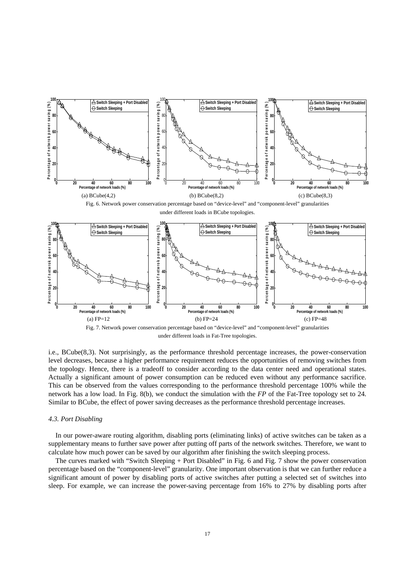

**100**

100

Fig. 7. Network power conservation percentage based on "device-level" and "component-level" granularities under different loads in Fat-Tree topologies.

i.e., BCube(8,3). Not surprisingly, as the performance threshold percentage increases, the power-conservation level decreases, because a higher performance requirement reduces the opportunities of removing switches from the topology. Hence, there is a tradeoff to consider according to the data center need and operational states. Actually a significant amount of power consumption can be reduced even without any performance sacrifice. This can be observed from the values corresponding to the performance threshold percentage 100% while the network has a low load. In Fig. 8(b), we conduct the simulation with the *FP* of the Fat-Tree topology set to 24. Similar to BCube, the effect of power saving decreases as the performance threshold percentage increases.

## *4.3. Port Disabling*

**100**

In our power-aware routing algorithm, disabling ports (eliminating links) of active switches can be taken as a supplementary means to further save power after putting off parts of the network switches. Therefore, we want to calculate how much power can be saved by our algorithm after finishing the switch sleeping process.

The curves marked with "Switch Sleeping + Port Disabled" in Fig. 6 and Fig. 7 show the power conservation percentage based on the "component-level" granularity. One important observation is that we can further reduce a significant amount of power by disabling ports of active switches after putting a selected set of switches into sleep. For example, we can increase the power-saving percentage from 16% to 27% by disabling ports after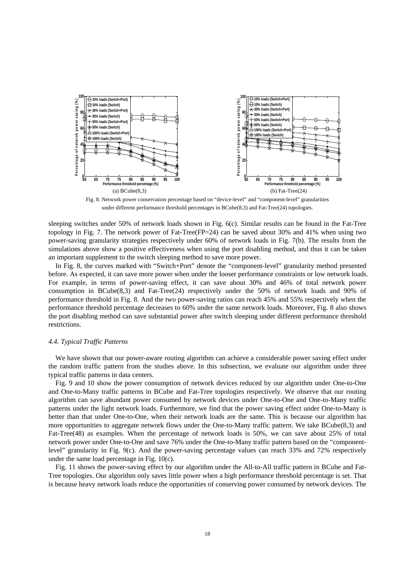

Fig. 8. Network power conservation percentage based on "device-level" and "component-level" granularities under different performance threshold percentages in BCube(8,3) and Fat-Tree(24) topologies.

sleeping switches under 50% of network loads shown in Fig. 6(c). Similar results can be found in the Fat-Tree topology in Fig. 7. The network power of Fat-Tree(FP=24) can be saved about 30% and 41% when using two power-saving granularity strategies respectively under 60% of network loads in Fig. 7(b). The results from the simulations above show a positive effectiveness when using the port disabling method, and thus it can be taken an important supplement to the switch sleeping method to save more power.

In Fig. 8, the curves marked with "Switch+Port" denote the "component-level" granularity method presented before. As expected, it can save more power when under the looser performance constraints or low network loads. For example, in terms of power-saving effect, it can save about 30% and 46% of total network power consumption in BCube(8,3) and Fat-Tree(24) respectively under the  $50\%$  of network loads and  $90\%$  of performance threshold in Fig. 8. And the two power-saving ratios can reach 45% and 55% respectively when the performance threshold percentage decreases to 60% under the same network loads. Moreover, Fig. 8 also shows the port disabling method can save substantial power after switch sleeping under different performance threshold restrictions.

# *4.4. Typical Traffic Patterns*

We have shown that our power-aware routing algorithm can achieve a considerable power saving effect under the random traffic pattern from the studies above. In this subsection, we evaluate our algorithm under three typical traffic patterns in data centers.

Fig. 9 and 10 show the power consumption of network devices reduced by our algorithm under One-to-One and One-to-Many traffic patterns in BCube and Fat-Tree topologies respectively. We observe that our routing algorithm can save abundant power consumed by network devices under One-to-One and One-to-Many traffic patterns under the light network loads. Furthermore, we find that the power saving effect under One-to-Many is better than that under One-to-One, when their network loads are the same. This is because our algorithm has more opportunities to aggregate network flows under the One-to-Many traffic pattern. We take BCube(8,3) and Fat-Tree(48) as examples. When the percentage of network loads is 50%, we can save about 25% of total network power under One-to-One and save 76% under the One-to-Many traffic pattern based on the "componentlevel" granularity in Fig. 9(c). And the power-saving percentage values can reach 33% and 72% respectively under the same load percentage in Fig. 10(c).

Fig. 11 shows the power-saving effect by our algorithm under the All-to-All traffic pattern in BCube and Fat-Tree topologies. Our algorithm only saves little power when a high performance threshold percentage is set. That is because heavy network loads reduce the opportunities of conserving power consumed by network devices. The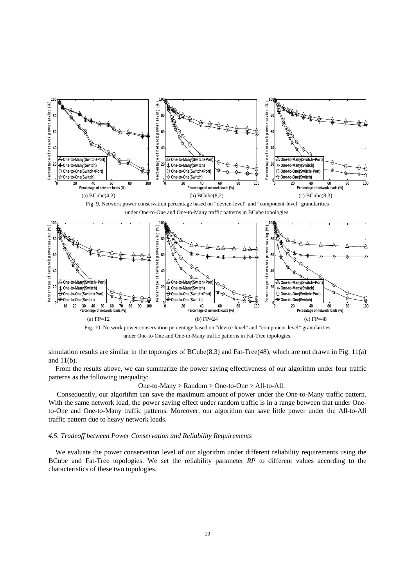

Fig. 9. Network power conservation percentage based on "device-level" and "component-level" granularities





Fig. 10. Network power conservation percentage based on "device-level" and "component-level" granularities under One-to-One and One-to-Many traffic patterns in Fat-Tree topologies.

simulation results are similar in the topologies of BCube(8,3) and Fat-Tree(48), which are not drawn in Fig. 11(a) and 11(b).

From the results above, we can summarize the power saving effectiveness of our algorithm under four traffic patterns as the following inequality:

One-to-Many > Random > One-to-One > All-to-All.

Consequently, our algorithm can save the maximum amount of power under the One-to-Many traffic pattern. With the same network load, the power saving effect under random traffic is in a range between that under Oneto-One and One-to-Many traffic patterns. Moreover, our algorithm can save little power under the All-to-All traffic pattern due to heavy network loads.

# *4.5. Tradeoff between Power Conservation and Reliability Requirements*

We evaluate the power conservation level of our algorithm under different reliability requirements using the BCube and Fat-Tree topologies. We set the reliability parameter *RP* to different values according to the characteristics of these two topologies.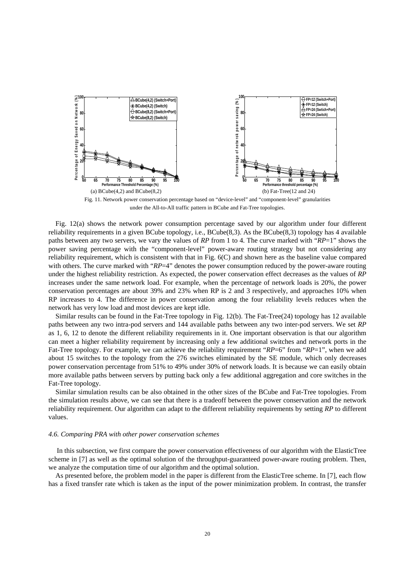

Fig. 11. Network power conservation percentage based on "device-level" and "component-level" granularities under the All-to-All traffic pattern in BCube and Fat-Tree topologies.

Fig. 12(a) shows the network power consumption percentage saved by our algorithm under four different reliability requirements in a given BCube topology, i.e., BCube(8,3). As the BCube(8,3) topology has 4 available paths between any two servers, we vary the values of *RP* from 1 to 4. The curve marked with "*RP*=1" shows the power saving percentage with the "component-level" power-aware routing strategy but not considering any reliability requirement, which is consistent with that in Fig. 6(C) and shown here as the baseline value compared with others. The curve marked with "*RP*=4" denotes the power consumption reduced by the power-aware routing under the highest reliability restriction. As expected, the power conservation effect decreases as the values of *RP* increases under the same network load. For example, when the percentage of network loads is 20%, the power conservation percentages are about 39% and 23% when RP is 2 and 3 respectively, and approaches 10% when RP increases to 4. The difference in power conservation among the four reliability levels reduces when the network has very low load and most devices are kept idle.

Similar results can be found in the Fat-Tree topology in Fig. 12(b). The Fat-Tree(24) topology has 12 available paths between any two intra-pod servers and 144 available paths between any two inter-pod servers. We set *RP* as 1, 6, 12 to denote the different reliability requirements in it. One important observation is that our algorithm can meet a higher reliability requirement by increasing only a few additional switches and network ports in the Fat-Tree topology. For example, we can achieve the reliability requirement "*RP*=6" from "*RP*=1", when we add about 15 switches to the topology from the 276 switches eliminated by the SE module, which only decreases power conservation percentage from 51% to 49% under 30% of network loads. It is because we can easily obtain more available paths between servers by putting back only a few additional aggregation and core switches in the Fat-Tree topology.

Similar simulation results can be also obtained in the other sizes of the BCube and Fat-Tree topologies. From the simulation results above, we can see that there is a tradeoff between the power conservation and the network reliability requirement. Our algorithm can adapt to the different reliability requirements by setting *RP* to different values.

## *4.6. Comparing PRA with other power conservation schemes*

In this subsection, we first compare the power conservation effectiveness of our algorithm with the ElasticTree scheme in [7] as well as the optimal solution of the throughput-guaranteed power-aware routing problem. Then, we analyze the computation time of our algorithm and the optimal solution.

As presented before, the problem model in the paper is different from the ElasticTree scheme. In [7], each flow has a fixed transfer rate which is taken as the input of the power minimization problem. In contrast, the transfer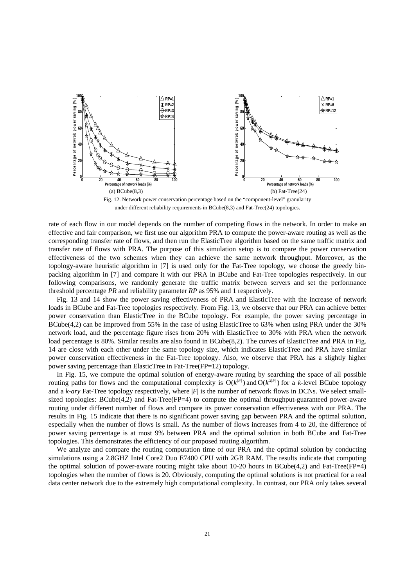

Fig. 12. Network power conservation percentage based on the "component-level" granularity under different reliability requirements in BCube(8,3) and Fat-Tree(24) topologies.

rate of each flow in our model depends on the number of competing flows in the network. In order to make an effective and fair comparison, we first use our algorithm PRA to compute the power-aware routing as well as the corresponding transfer rate of flows, and then run the ElasticTree algorithm based on the same traffic matrix and transfer rate of flows with PRA. The purpose of this simulation setup is to compare the power conservation effectiveness of the two schemes when they can achieve the same network throughput. Moreover, as the topology-aware heuristic algorithm in [7] is used only for the Fat-Tree topology, we choose the greedy binpacking algorithm in [7] and compare it with our PRA in BCube and Fat-Tree topologies respectively. In our following comparisons, we randomly generate the traffic matrix between servers and set the performance threshold percentage *PR* and reliability parameter *RP* as 95% and 1 respectively.

Fig. 13 and 14 show the power saving effectiveness of PRA and ElasticTree with the increase of network loads in BCube and Fat-Tree topologies respectively. From Fig. 13, we observe that our PRA can achieve better power conservation than ElasticTree in the BCube topology. For example, the power saving percentage in BCube(4,2) can be improved from 55% in the case of using ElasticTree to 63% when using PRA under the 30% network load, and the percentage figure rises from 20% with ElasticTree to 30% with PRA when the network load percentage is 80%. Similar results are also found in BCube(8,2). The curves of ElasticTree and PRA in Fig. 14 are close with each other under the same topology size, which indicates ElasticTree and PRA have similar power conservation effectiveness in the Fat-Tree topology. Also, we observe that PRA has a slightly higher power saving percentage than ElasticTree in Fat-Tree(FP=12) topology.

In Fig. 15, we compute the optimal solution of energy-aware routing by searching the space of all possible routing paths for flows and the computational complexity is  $O(k^{|F|})$  and  $O(k^{2|F|})$  for a *k*-level BCube topology and a *k-ary* Fat-Tree topology respectively, where |F| is the number of network flows in DCNs. We select smallsized topologies: BCube(4,2) and Fat-Tree(FP=4) to compute the optimal throughput-guaranteed power-aware routing under different number of flows and compare its power conservation effectiveness with our PRA. The results in Fig. 15 indicate that there is no significant power saving gap between PRA and the optimal solution, especially when the number of flows is small. As the number of flows increases from 4 to 20, the difference of power saving percentage is at most 9% between PRA and the optimal solution in both BCube and Fat-Tree topologies. This demonstrates the efficiency of our proposed routing algorithm.

We analyze and compare the routing computation time of our PRA and the optimal solution by conducting simulations using a 2.8GHZ Intel Core2 Duo E7400 CPU with 2GB RAM. The results indicate that computing the optimal solution of power-aware routing might take about 10-20 hours in BCube(4,2) and Fat-Tree(FP=4) topologies when the number of flows is 20. Obviously, computing the optimal solutions is not practical for a real data center network due to the extremely high computational complexity. In contrast, our PRA only takes several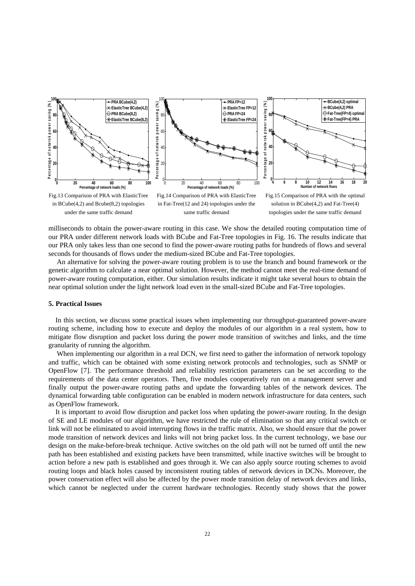

under the same traffic demand

same traffic demand

topologies under the same traffic demand

milliseconds to obtain the power-aware routing in this case. We show the detailed routing computation time of our PRA under different network loads with BCube and Fat-Tree topologies in Fig. 16. The results indicate that our PRA only takes less than one second to find the power-aware routing paths for hundreds of flows and several seconds for thousands of flows under the medium-sized BCube and Fat-Tree topologies.

An alternative for solving the power-aware routing problem is to use the branch and bound framework or the genetic algorithm to calculate a near optimal solution. However, the method cannot meet the real-time demand of power-aware routing computation, either. Our simulation results indicate it might take several hours to obtain the near optimal solution under the light network load even in the small-sized BCube and Fat-Tree topologies.

# **5. Practical Issues**

In this section, we discuss some practical issues when implementing our throughput-guaranteed power-aware routing scheme, including how to execute and deploy the modules of our algorithm in a real system, how to mitigate flow disruption and packet loss during the power mode transition of switches and links, and the time granularity of running the algorithm.

When implementing our algorithm in a real DCN, we first need to gather the information of network topology and traffic, which can be obtained with some existing network protocols and technologies, such as SNMP or OpenFlow [7]. The performance threshold and reliability restriction parameters can be set according to the requirements of the data center operators. Then, five modules cooperatively run on a management server and finally output the power-aware routing paths and update the forwarding tables of the network devices. The dynamical forwarding table configuration can be enabled in modern network infrastructure for data centers, such as OpenFlow framework.

It is important to avoid flow disruption and packet loss when updating the power-aware routing. In the design of SE and LE modules of our algorithm, we have restricted the rule of elimination so that any critical switch or link will not be eliminated to avoid interrupting flows in the traffic matrix. Also, we should ensure that the power mode transition of network devices and links will not bring packet loss. In the current technology, we base our design on the make-before-break technique. Active switches on the old path will not be turned off until the new path has been established and existing packets have been transmitted, while inactive switches will be brought to action before a new path is established and goes through it. We can also apply source routing schemes to avoid routing loops and black holes caused by inconsistent routing tables of network devices in DCNs. Moreover, the power conservation effect will also be affected by the power mode transition delay of network devices and links, which cannot be neglected under the current hardware technologies. Recently study shows that the power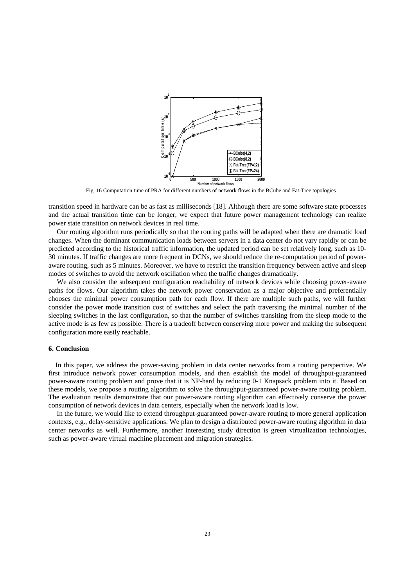

<sup>10</sup> 6<sup>2</sup> 500 1000 1500 2000<br>Number of network flows<br>Fig. 16 Computation time of PRA for different numbers of network flows in the BCube and Fat-Tree topologies

transition speed in hardware can be as fast as milliseconds [18]. Although there are some software state processes and the actual transition time can be longer, we expect that future power management technology can realize power state transition on network devices in real time.

Our routing algorithm runs periodically so that the routing paths will be adapted when there are dramatic load changes. When the dominant communication loads between servers in a data center do not vary rapidly or can be predicted according to the historical traffic information, the updated period can be set relatively long, such as 10- 30 minutes. If traffic changes are more frequent in DCNs, we should reduce the re-computation period of poweraware routing, such as 5 minutes. Moreover, we have to restrict the transition frequency between active and sleep modes of switches to avoid the network oscillation when the traffic changes dramatically.

We also consider the subsequent configuration reachability of network devices while choosing power-aware paths for flows. Our algorithm takes the network power conservation as a major objective and preferentially chooses the minimal power consumption path for each flow. If there are multiple such paths, we will further consider the power mode transition cost of switches and select the path traversing the minimal number of the sleeping switches in the last configuration, so that the number of switches transiting from the sleep mode to the active mode is as few as possible. There is a tradeoff between conserving more power and making the subsequent configuration more easily reachable.

## **6. Conclusion**

In this paper, we address the power-saving problem in data center networks from a routing perspective. We first introduce network power consumption models, and then establish the model of throughput-guaranteed power-aware routing problem and prove that it is NP-hard by reducing 0-1 Knapsack problem into it. Based on these models, we propose a routing algorithm to solve the throughput-guaranteed power-aware routing problem. The evaluation results demonstrate that our power-aware routing algorithm can effectively conserve the power consumption of network devices in data centers, especially when the network load is low.

In the future, we would like to extend throughput-guaranteed power-aware routing to more general application contexts, e.g., delay-sensitive applications. We plan to design a distributed power-aware routing algorithm in data center networks as well. Furthermore, another interesting study direction is green virtualization technologies, such as power-aware virtual machine placement and migration strategies.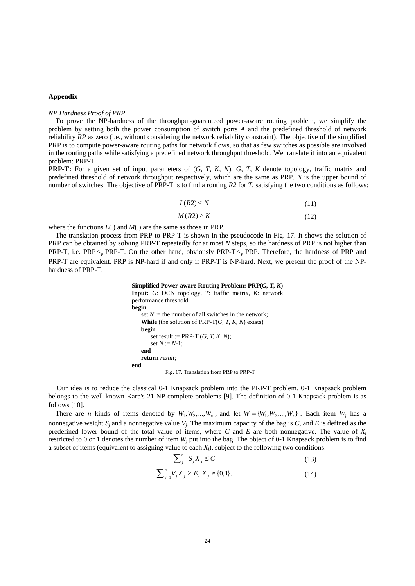# **Appendix**

## *NP Hardness Proof of PRP*

To prove the NP-hardness of the throughput-guaranteed power-aware routing problem, we simplify the problem by setting both the power consumption of switch ports *A* and the predefined threshold of network reliability *RP* as zero (i.e., without considering the network reliability constraint). The objective of the simplified PRP is to compute power-aware routing paths for network flows, so that as few switches as possible are involved in the routing paths while satisfying a predefined network throughput threshold. We translate it into an equivalent problem: PRP-T.

**PRP-T:** For a given set of input parameters of (*G*, *T*, *K, N*), *G*, *T*, *K* denote topology, traffic matrix and predefined threshold of network throughput respectively, which are the same as PRP. *N* is the upper bound of number of switches. The objective of PRP-T is to find a routing *R2* for *T*, satisfying the two conditions as follows:

$$
L(R2) \le N \tag{11}
$$

$$
M(R2) \ge K \tag{12}
$$

where the functions *L*(*.*) and *M*(*.*) are the same as those in PRP.

The translation process from PRP to PRP-T is shown in the pseudocode in Fig. 17. It shows the solution of PRP can be obtained by solving PRP-T repeatedly for at most *N* steps, so the hardness of PRP is not higher than PRP-T, i.e. PRP  $\leq_{p}$  PRP-T. On the other hand, obviously PRP-T  $\leq_{p}$  PRP. Therefore, the hardness of PRP and PRP-T are equivalent. PRP is NP-hard if and only if PRP-T is NP-hard. Next, we present the proof of the NPhardness of PRP-T.

| Simplified Power-aware Routing Problem: $PRP(G, T, K)$       |
|--------------------------------------------------------------|
| <b>Input:</b> G: DCN topology, T: traffic matrix, K: network |
| performance threshold                                        |
| begin                                                        |
| set $N :=$ the number of all switches in the network;        |
| <b>While</b> (the solution of PRP-T $(G, T, K, N)$ ) exists) |
| begin                                                        |
| set result := PRP-T $(G, T, K, N)$ ;                         |
| set $N := N-1$ ;                                             |
| end                                                          |
| return result;                                               |
| end                                                          |
| Fig. 17. Translation from PRP to PRP-T                       |

Our idea is to reduce the classical 0-1 Knapsack problem into the PRP-T problem. 0-1 Knapsack problem belongs to the well known Karp's 21 NP-complete problems [9]. The definition of 0-1 Knapsack problem is as follows [10].

There are *n* kinds of items denoted by  $W_1, W_2, ..., W_n$ , and let  $W = \{W_1, W_2, ..., W_n\}$ . Each item  $W_j$  has a nonnegative weight  $S_i$  and a nonnegative value  $V_i$ . The maximum capacity of the bag is C, and E is defined as the predefined lower bound of the total value of items, where *C* and *E* are both nonnegative. The value of  $X_i$ restricted to 0 or 1 denotes the number of item *Wj* put into the bag. The object of 0-1 Knapsack problem is to find a subset of items (equivalent to assigning value to each *Xj*), subject to the following two conditions:

$$
\sum_{j=1}^{n} S_j X_j \le C \tag{13}
$$

$$
\sum_{j=1}^{n} V_j X_j \ge E, X_j \in \{0, 1\}.
$$
 (14)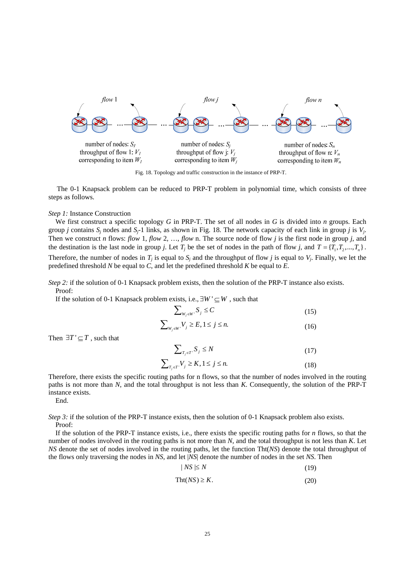

Fig. 18. Topology and traffic construction in the instance of PRP-T.

The 0-1 Knapsack problem can be reduced to PRP-T problem in polynomial time, which consists of three steps as follows.

## *Step 1:* Instance Construction

We first construct a specific topology *G* in PRP-T. The set of all nodes in *G* is divided into *n* groups. Each group *j* contains  $S_i$  nodes and  $S_i$ -1 links, as shown in Fig. 18. The network capacity of each link in group *j* is  $V_i$ . Then we construct *n* flows: *flow* 1, *flow* 2, …, *flow* n. The source node of flow *j* is the first node in group *j*, and the destination is the last node in group *j*. Let  $T_i$  be the set of nodes in the path of flow *j*, and  $T = \{T_1, T_2, ..., T_n\}$ . Therefore, the number of nodes in  $T_j$  is equal to  $S_j$  and the throughput of flow *j* is equal to  $V_j$ . Finally, we let the predefined threshold *N* be equal to *C*, and let the predefined threshold *K* be equal to *E*.

*Step 2:* if the solution of 0-1 Knapsack problem exists, then the solution of the PRP-T instance also exists. Proof:

If the solution of 0-1 Knapsack problem exists, i.e.,  $\exists W' \subseteq W$ , such that

$$
\sum_{W_j \in W} S_j \le C \tag{15}
$$

$$
\sum_{W_j \in W'} V_j \ge E, 1 \le j \le n. \tag{16}
$$

Then  $\exists T' \subseteq T$ , such that

$$
\sum_{T_j \in T'} S_j \le N \tag{17}
$$

$$
\sum_{T_j \in T'} V_j \ge K, 1 \le j \le n. \tag{18}
$$

Therefore, there exists the specific routing paths for n flows, so that the number of nodes involved in the routing paths is not more than *N*, and the total throughput is not less than *K*. Consequently, the solution of the PRP-T instance exists.

End.

*Step 3:* if the solution of the PRP-T instance exists, then the solution of 0-1 Knapsack problem also exists. Proof:

If the solution of the PRP-T instance exists, i.e., there exists the specific routing paths for *n* flows, so that the number of nodes involved in the routing paths is not more than *N*, and the total throughput is not less than *K*. Let *NS* denote the set of nodes involved in the routing paths, let the function Tht(*NS*) denote the total throughput of the flows only traversing the nodes in *NS*, and let |*NS*| denote the number of nodes in the set *NS*. Then

$$
|NS| \le N \tag{19}
$$

$$
Tht(NS) \ge K. \tag{20}
$$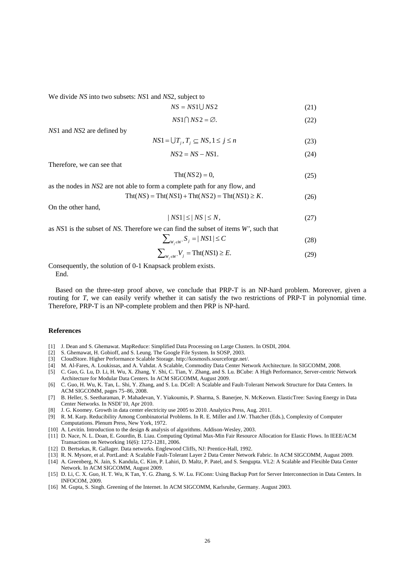We divide *NS* into two subsets: *NS*1 and *NS*2, subject to

$$
NS = NS1 \cup NS2 \tag{21}
$$

$$
NS1 \cap NS2 = \varnothing. \tag{22}
$$

*NS*1 and *NS*2 are defined by

$$
NS1 = \bigcup T_j, T_j \subseteq NS, 1 \le j \le n \tag{23}
$$

$$
NS2 = NS - NS1.
$$
 (24)

Therefore, we can see that

$$
Tht(NS2) = 0,\t(25)
$$

as the nodes in *NS*2 are not able to form a complete path for any flow, and

 $\text{Tht}(NS) = \text{Tht}(NS1) + \text{Tht}(NS2) = \text{Tht}(NS1) \geq K.$  (26)

On the other hand,

$$
|NS1| \le |NS| \le N,\tag{27}
$$

as *NS*1 is the subset of *NS*. Therefore we can find the subset of items *W'*, such that

$$
\sum_{W_j \in W'} S_j = |NS1| \le C \tag{28}
$$

$$
\sum_{W_j \in W'} V_j = \text{Tht}(NS1) \ge E. \tag{29}
$$

Consequently, the solution of 0-1 Knapsack problem exists.

End.

Based on the three-step proof above, we conclude that PRP-T is an NP-hard problem. Moreover, given a routing for *T*, we can easily verify whether it can satisfy the two restrictions of PRP-T in polynomial time. Therefore, PRP-T is an NP-complete problem and then PRP is NP-hard.

# **References**

- [1] J. Dean and S. Ghemawat. MapReduce: Simplified Data Processing on Large Clusters. In OSDI, 2004.
- [2] S. Ghemawat, H. Gobioff, and S. Leung. The Google File System. In SOSP, 2003.
- [3] CloudStore. Higher Performance Scalable Storage. http://kosmosfs.sourceforge.net/.
- [4] M. Al-Fares, A. Loukissas, and A. Vahdat. A Scalable, Commodity Data Center Network Architecture. In SIGCOMM, 2008.
- [5] C. Guo, G. Lu, D. Li, H. Wu, X. Zhang, Y. Shi, C. Tian, Y. Zhang, and S. Lu. BCube: A High Performance, Server-centric Network Architecture for Modular Data Centers. In ACM SIGCOMM, August 2009.
- [6] C. Guo, H. Wu, K. Tan, L. Shi, Y. Zhang, and S. Lu. DCell: A Scalable and Fault-Tolerant Network Structure for Data Centers. In ACM SIGCOMM, pages 75–86, 2008.
- [7] B. Heller, S. Seetharaman, P. Mahadevan, Y. Yiakoumis, P. Sharma, S. Banerjee, N. McKeown. ElasticTree: Saving Energy in Data Center Networks. In NSDI'10, Apr 2010.
- [8] J. G. Koomey. Growth in data center electricity use 2005 to 2010. Analytics Press, Aug. 2011.
- [9] R. M. Karp. Reducibility Among Combinatorial Problems. In R. E. Miller and J.W. Thatcher (Eds.), Complexity of Computer Computations. Plenum Press, New York, 1972.
- [10] A. Levitin. Introduction to the design & analysis of algorithms. Addison-Wesley, 2003.
- [11] D. Nace, N. L. Doan, E. Gourdin, B. Liau. Computing Optimal Max-Min Fair Resource Allocation for Elastic Flows. In IEEE/ACM Transactions on Networking 16(6): 1272-1281, 2006.
- [12] D. Bertsekas, R. Gallager. Data networks. Englewood Cliffs, NJ: Prentice-Hall, 1992.
- [13] R. N. Mysore, et al. PortLand: A Scalable Fault-Tolerant Layer 2 Data Center Network Fabric. In ACM SIGCOMM, August 2009.
- [14] A. Greenberg, N. Jain, S. Kandula, C. Kim, P. Lahiri, D. Maltz, P. Patel, and S. Sengupta. VL2: A Scalable and Flexible Data Center Network. In ACM SIGCOMM, August 2009.
- [15] D. Li, C. X. Guo, H. T. Wu, K Tan, Y. G. Zhang, S. W. Lu. FiConn: Using Backup Port for Server Interconnection in Data Centers. In INFOCOM, 2009.
- [16] M. Gupta, S. Singh. Greening of the Internet. In ACM SIGCOMM, Karlsruhe, Germany. August 2003.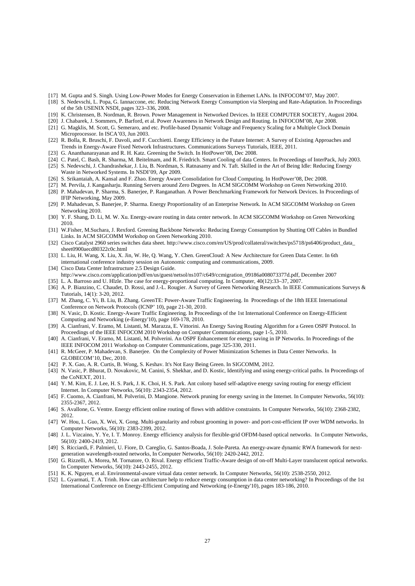- [17] M. Gupta and S. Singh. Using Low-Power Modes for Energy Conservation in Ethernet LANs. In INFOCOM'07, May 2007.
- [18] S. Nedevschi, L. Popa, G. Iannaccone, etc. Reducing Network Energy Consumption via Sleeping and Rate-Adaptation. In Proceedings of the 5th USENIX NSDI, pages 323–336, 2008.
- [19] K. Christensen, B. Nordman, R. Brown. Power Management in Networked Devices. In IEEE COMPUTER SOCIETY, August 2004.
- [20] J. Chabarek, J. Sommers, P. Barford, et al. Power Awareness in Network Design and Routing. In INFOCOM'08, Apr 2008.
- [21] G. Magklis, M. Scott, G. Semeraro, and etc. Profile-based Dynamic Voltage and Frequency Scaling for a Multiple Clock Domain Microprocessor. In ISCA'03, Jun 2003.
- [22] R. Bolla, R. Bruschi, F. Davoli, and F. Cucchietti. Energy Efficiency in the Future Internet: A Survey of Existing Approaches and Trends in Energy-Aware Fixed Network Infrastructures. Communications Surveys Tutorials, IEEE, 2011.
- [23] G. Ananthanarayanan and R. H. Katz. Greening the Switch. In HotPower'08, Dec 2008.
- [24] C. Patel, C. Bash, R. Sharma, M. Beitelmam, and R. Friedrich. Smart Cooling of data Centers. In Proceedings of InterPack, July 2003.
- [25] S. Nedevschi, J. Chandrashekar, J. Liu, B. Nordman, S. Ratnasamy and N. Taft. Skilled in the Art of Being Idle: Reducing Energy Waste in Networked Systems. In NSDI'09, Apr 2009.
- [26] S. Srikantaiah, A. Kansal and F. Zhao. Energy Aware Consolidation for Cloud Computing. In HotPower'08, Dec 2008.
- [27] M. Pervila, J. Kangasharju. Running Servers around Zero Degrees. In ACM SIGCOMM Workshop on Green Networking 2010.
- [28] P. Mahadevan, P. Sharma, S. Banerjee, P. Ranganathan. A Power Benchmarking Framework for Network Devices. In Proceedings of IFIP Networking, May 2009.
- [29] P. Mahadevan, S. Banerjee, P. Sharma. Energy Proportionality of an Enterprise Network. In ACM SIGCOMM Workshop on Green Networking 2010.
- [30] Y. F. Shang, D. Li, M. W. Xu. Energy-aware routing in data center network. In ACM SIGCOMM Workshop on Green Networking 2010.
- [31] W.Fisher, M.Suchara, J. Rexford. Greening Backbone Networks: Reducing Energy Consumption by Shutting Off Cables in Bundled Links. In ACM SIGCOMM Workshop on Green Networking 2010.
- [32] Cisco Catalyst 2960 series switches data sheet. http://www.cisco.com/en/US/prod/collateral/switches/ps5718/ps6406/product\_data\_ sheet0900aecd80322c0c.html
- [33] L. Liu, H. Wang, X. Liu, X. Jin, W. He, Q. Wang, Y. Chen. GreenCloud: A New Architecture for Green Data Center. In 6th international conference industry session on Autonomic computing and communications, 2009.
- [34] Cisco Data Center Infrastructure 2.5 Design Guide. http://www.cisco.com/application/pdf/en/us/guest/netsol/ns107/c649/ccmigration\_09186a008073377d.pdf, December 2007
- [35] L. A. Barroso and U. Hlzle. The case for energy-proportional computing. In Computer, 40(12):33–37, 2007.
- [36] A. P. Bianzino, C. Chaudet, D. Rossi, and J.-L. Rougier. A Survey of Green Networking Research. In IEEE Communications Surveys & Tutorials, 14(1): 3-20, 2012.
- [37] M. Zhang, C. Yi, B. Liu, B. Zhang. GreenTE: Power-Aware Traffic Engineering. In Proceedings of the 18th IEEE International Conference on Network Protocols (ICNP' 10), page 21-30, 2010.
- [38] N. Vasic, D. Kostic. Energy-Aware Traffic Engineering. In Proceedings of the 1st International Conference on Energy-Efficient Computing and Networking (e-Energy'10), page 169-178, 2010.
- [39] A. Cianfrani, V. Eramo, M. Listanti, M. Marazza, E. Vittorini. An Energy Saving Routing Algorithm for a Green OSPF Protocol. In Proceedings of the IEEE INFOCOM 2010 Workshop on Computer Communications, page 1-5, 2010.
- [40] A. Cianfrani, V. Eramo, M. Listanti, M. Polverini. An OSPF Enhancement for energy saving in IP Networks. In Proceedings of the IEEE INFOCOM 2011 Workshop on Computer Communications, page 325-330, 2011.
- [41] R. McGeer, P. Mahadevan, S. Banerjee. On the Complexity of Power Minimization Schemes in Data Center Networks. In GLOBECOM'10, Dec, 2010.
- [42] P. X. Gao, A. R. Curtis, B. Wong, S. Keshav. It's Not Easy Being Green. In SIGCOMM, 2012.
- [43] N. Vasic, P. Bhurat, D. Novakovic, M. Canini, S. Shekhar, and D. Kostic, Identifying and using energy-critical paths. In Proceedings of the CoNEXT, 2011.
- [44] Y. M. Kim, E. J. Lee, H. S. Park, J. K. Choi, H. S. Park. Ant colony based self-adaptive energy saving routing for energy efficient Internet. In Computer Networks, 56(10): 2343-2354, 2012.
- [45] F. Cuomo, A. Cianfrani, M. Polverini, D. Mangione. Network pruning for energy saving in the Internet. In Computer Networks, 56(10): 2355-2367, 2012.
- [46] S. Avallone, G. Ventre. Energy efficient online routing of flows with additive constraints. In Computer Networks, 56(10): 2368-2382, 2012.
- [47] W. Hou, L. Guo, X. Wei, X. Gong. Multi-granularity and robust grooming in power- and port-cost-efficient IP over WDM networks. In Computer Networks, 56(10): 2383-2399, 2012.
- [48] J. L. Vizcaino, Y. Ye, I. T. Monroy. Energy efficiency analysis for flexible-grid OFDM-based optical networks. In Computer Networks, 56(10): 2400-2419, 2012.
- [49] S. Ricciardi, F. Palmieri, U. Fiore, D. Careglio, G. Santos-Boada, J. Sole-Pareta. An energy-aware dynamic RWA framework for nextgeneration wavelength-routed networks, In Computer Networks, 56(10): 2420-2442, 2012.
- [50] G. Rizzelli, A. Morea, M. Tornatore, O. Rival. Energy efficient Traffic-Aware design of on-off Multi-Layer translucent optical networks. In Computer Networks, 56(10): 2443-2455, 2012.
- [51] K. K. Nguyen, et al. Environmental-aware virtual data center network. In Computer Networks, 56(10): 2538-2550, 2012.
- [52] L. Gyarmati, T. A. Trinh. How can architecture help to reduce energy consumption in data center networking? In Proceedings of the 1st International Conference on Energy-Efficient Computing and Networking (e-Energy'10), pages 183-186, 2010.